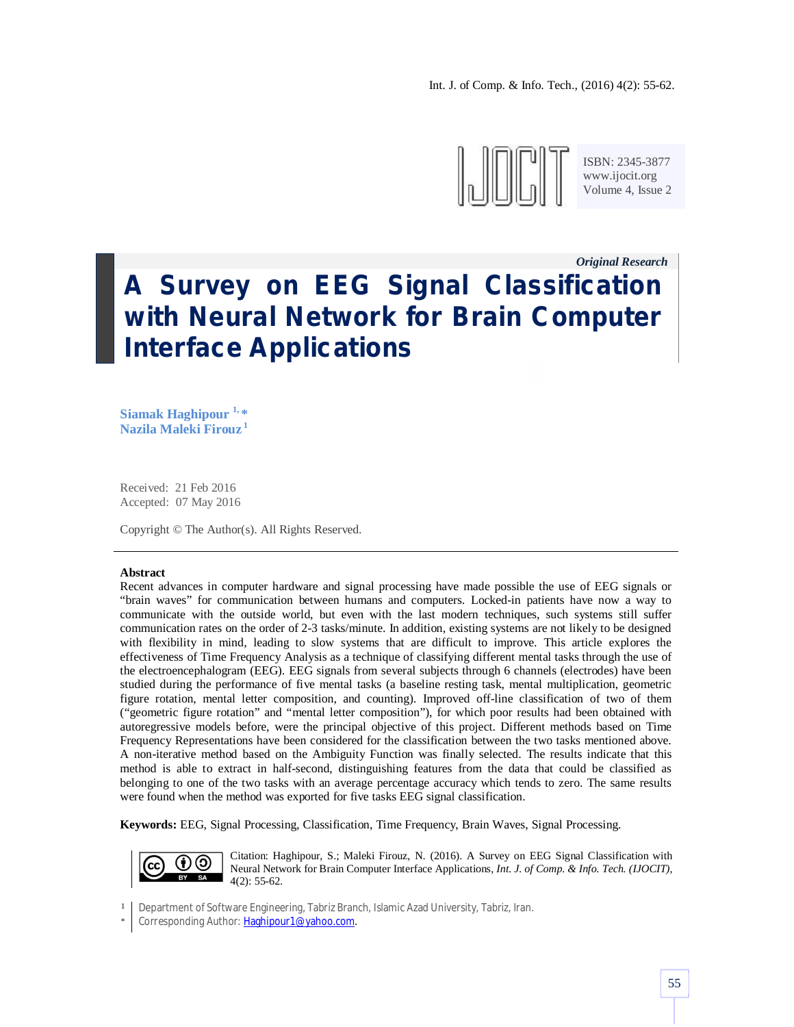

ISBN: 2345-3877 www.ijocit.org Volume 4, Issue 2

*Original Research\_\_*

# **A Survey on EEG Signal Classification with Neural Network for Brain Computer Interface Applications**

**Siamak Haghipour 1, \* Nazila Maleki Firouz <sup>1</sup>**

Received: 21 Feb 2016 Accepted: 07 May 2016

Copyright © The Author(s). All Rights Reserved.

#### **Abstract**

Recent advances in computer hardware and signal processing have made possible the use of EEG signals or "brain waves" for communication between humans and computers. Locked-in patients have now a way to communicate with the outside world, but even with the last modern techniques, such systems still suffer communication rates on the order of 2-3 tasks/minute. In addition, existing systems are not likely to be designed with flexibility in mind, leading to slow systems that are difficult to improve. This article explores the effectiveness of Time Frequency Analysis as a technique of classifying different mental tasks through the use of the electroencephalogram (EEG). EEG signals from several subjects through 6 channels (electrodes) have been studied during the performance of five mental tasks (a baseline resting task, mental multiplication, geometric figure rotation, mental letter composition, and counting). Improved off-line classification of two of them ("geometric figure rotation" and "mental letter composition"), for which poor results had been obtained with autoregressive models before, were the principal objective of this project. Different methods based on Time Frequency Representations have been considered for the classification between the two tasks mentioned above. A non-iterative method based on the Ambiguity Function was finally selected. The results indicate that this method is able to extract in half-second, distinguishing features from the data that could be classified as belonging to one of the two tasks with an average percentage accuracy which tends to zero. The same results were found when the method was exported for five tasks EEG signal classification.

**Keywords:** EEG, Signal Processing, Classification, Time Frequency, Brain Waves, Signal Processing.



Citation: Haghipour, S.; Maleki Firouz, N. (2016). A Survey on EEG Signal Classification with Neural Network for Brain Computer Interface Applications, *Int. J. of Comp. & Info. Tech. (IJOCIT)*, 4(2): 55-62.

1 Department of Software Engineering, Tabriz Branch, Islamic Azad University, Tabriz, Iran.

\* Corresponding Author: Haghipour1@yahoo.com.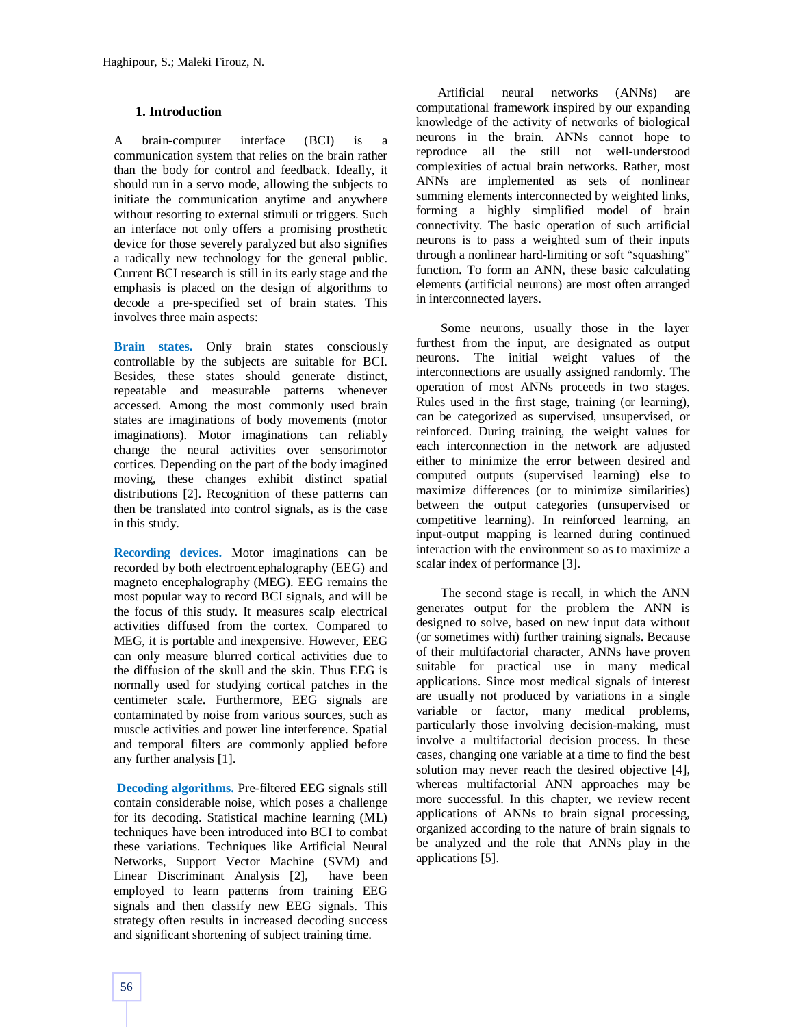## **1. Introduction**

A brain-computer interface (BCI) is a communication system that relies on the brain rather than the body for control and feedback. Ideally, it should run in a servo mode, allowing the subjects to initiate the communication anytime and anywhere without resorting to external stimuli or triggers. Such an interface not only offers a promising prosthetic device for those severely paralyzed but also signifies a radically new technology for the general public. Current BCI research is still in its early stage and the emphasis is placed on the design of algorithms to decode a pre-specified set of brain states. This involves three main aspects:

**Brain states.** Only brain states consciously controllable by the subjects are suitable for BCI. Besides, these states should generate distinct, repeatable and measurable patterns whenever accessed. Among the most commonly used brain states are imaginations of body movements (motor imaginations). Motor imaginations can reliably change the neural activities over sensorimotor cortices. Depending on the part of the body imagined moving, these changes exhibit distinct spatial distributions [2]. Recognition of these patterns can then be translated into control signals, as is the case in this study.

**Recording devices.** Motor imaginations can be recorded by both electroencephalography (EEG) and magneto encephalography (MEG). EEG remains the most popular way to record BCI signals, and will be the focus of this study. It measures scalp electrical activities diffused from the cortex. Compared to MEG, it is portable and inexpensive. However, EEG can only measure blurred cortical activities due to the diffusion of the skull and the skin. Thus EEG is normally used for studying cortical patches in the centimeter scale. Furthermore, EEG signals are contaminated by noise from various sources, such as muscle activities and power line interference. Spatial and temporal filters are commonly applied before any further analysis [1].

**Decoding algorithms.** Pre-filtered EEG signals still contain considerable noise, which poses a challenge for its decoding. Statistical machine learning (ML) techniques have been introduced into BCI to combat these variations. Techniques like Artificial Neural Networks, Support Vector Machine (SVM) and Linear Discriminant Analysis [2], have been employed to learn patterns from training EEG signals and then classify new EEG signals. This strategy often results in increased decoding success and significant shortening of subject training time.

Artificial neural networks (ANNs) are computational framework inspired by our expanding knowledge of the activity of networks of biological neurons in the brain. ANNs cannot hope to reproduce all the still not well-understood complexities of actual brain networks. Rather, most ANNs are implemented as sets of nonlinear summing elements interconnected by weighted links, forming a highly simplified model of brain connectivity. The basic operation of such artificial neurons is to pass a weighted sum of their inputs through a nonlinear hard-limiting or soft "squashing" function. To form an ANN, these basic calculating elements (artificial neurons) are most often arranged in interconnected layers.

Some neurons, usually those in the layer furthest from the input, are designated as output neurons. The initial weight values of the interconnections are usually assigned randomly. The operation of most ANNs proceeds in two stages. Rules used in the first stage, training (or learning), can be categorized as supervised, unsupervised, or reinforced. During training, the weight values for each interconnection in the network are adjusted either to minimize the error between desired and computed outputs (supervised learning) else to maximize differences (or to minimize similarities) between the output categories (unsupervised or competitive learning). In reinforced learning, an input-output mapping is learned during continued interaction with the environment so as to maximize a scalar index of performance [3].

The second stage is recall, in which the ANN generates output for the problem the ANN is designed to solve, based on new input data without (or sometimes with) further training signals. Because of their multifactorial character, ANNs have proven suitable for practical use in many medical applications. Since most medical signals of interest are usually not produced by variations in a single variable or factor, many medical problems, particularly those involving decision-making, must involve a multifactorial decision process. In these cases, changing one variable at a time to find the best solution may never reach the desired objective [4], whereas multifactorial ANN approaches may be more successful. In this chapter, we review recent applications of ANNs to brain signal processing, organized according to the nature of brain signals to be analyzed and the role that ANNs play in the applications [5].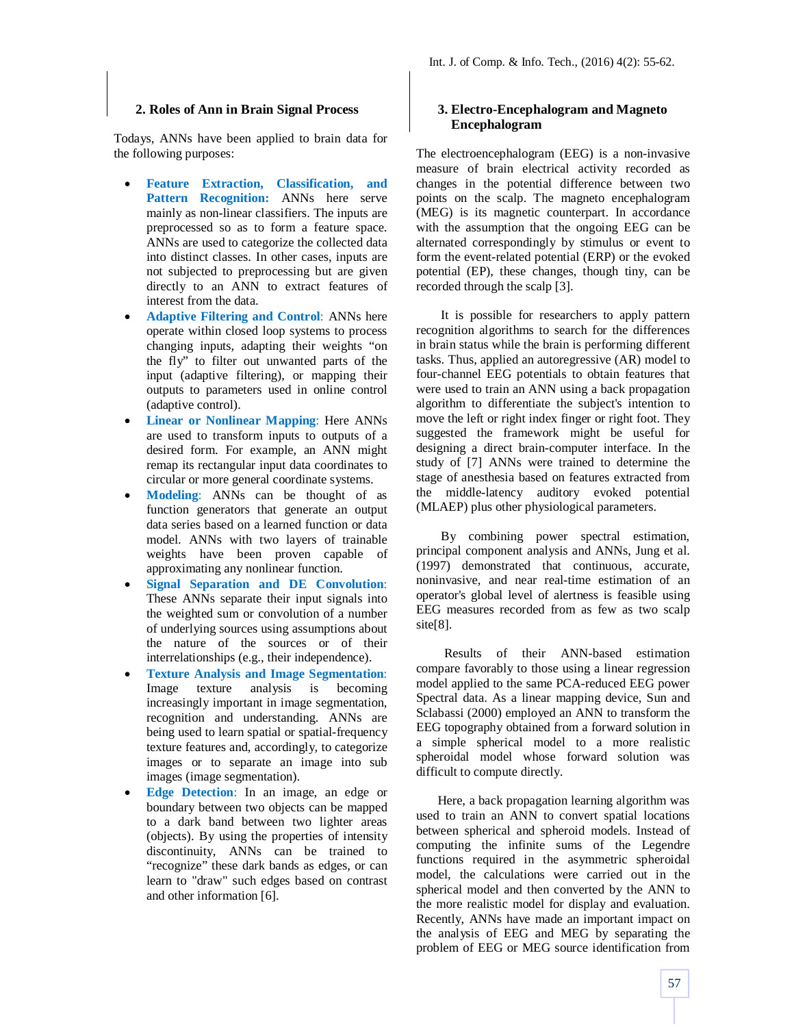#### **2. Roles of Ann in Brain Signal Process**

Todays, ANNs have been applied to brain data for the following purposes:

- **Feature Extraction, Classification, and Pattern Recognition:** ANNs here serve mainly as non-linear classifiers. The inputs are preprocessed so as to form a feature space. ANNs are used to categorize the collected data into distinct classes. In other cases, inputs are not subjected to preprocessing but are given directly to an ANN to extract features of interest from the data.
- **Adaptive Filtering and Control**: ANNs here operate within closed loop systems to process changing inputs, adapting their weights "on the fly" to filter out unwanted parts of the input (adaptive filtering), or mapping their outputs to parameters used in online control (adaptive control).
- **Linear or Nonlinear Mapping**: Here ANNs are used to transform inputs to outputs of a desired form. For example, an ANN might remap its rectangular input data coordinates to circular or more general coordinate systems.
- **Modeling**: ANNs can be thought of as function generators that generate an output data series based on a learned function or data model. ANNs with two layers of trainable weights have been proven capable of approximating any nonlinear function.
- **Signal Separation and DE Convolution**: These ANNs separate their input signals into the weighted sum or convolution of a number of underlying sources using assumptions about the nature of the sources or of their interrelationships (e.g., their independence).
- **Texture Analysis and Image Segmentation**: Image texture analysis is becoming increasingly important in image segmentation, recognition and understanding. ANNs are being used to learn spatial or spatial-frequency texture features and, accordingly, to categorize images or to separate an image into sub images (image segmentation).
- **Edge Detection**: In an image, an edge or boundary between two objects can be mapped to a dark band between two lighter areas (objects). By using the properties of intensity discontinuity, ANNs can be trained to "recognize" these dark bands as edges, or can learn to "draw" such edges based on contrast and other information [6].

## **3. Electro-Encephalogram and Magneto Encephalogram**

The electroencephalogram (EEG) is a non-invasive measure of brain electrical activity recorded as changes in the potential difference between two points on the scalp. The magneto encephalogram (MEG) is its magnetic counterpart. In accordance with the assumption that the ongoing EEG can be alternated correspondingly by stimulus or event to form the event-related potential (ERP) or the evoked potential (EP), these changes, though tiny, can be recorded through the scalp [3].

It is possible for researchers to apply pattern recognition algorithms to search for the differences in brain status while the brain is performing different tasks. Thus, applied an autoregressive (AR) model to four-channel EEG potentials to obtain features that were used to train an ANN using a back propagation algorithm to differentiate the subject's intention to move the left or right index finger or right foot. They suggested the framework might be useful for designing a direct brain-computer interface. In the study of [7] ANNs were trained to determine the stage of anesthesia based on features extracted from the middle-latency auditory evoked potential (MLAEP) plus other physiological parameters.

By combining power spectral estimation, principal component analysis and ANNs, Jung et al. (1997) demonstrated that continuous, accurate, noninvasive, and near real-time estimation of an operator's global level of alertness is feasible using EEG measures recorded from as few as two scalp site[8].

 Results of their ANN-based estimation compare favorably to those using a linear regression model applied to the same PCA-reduced EEG power Spectral data. As a linear mapping device, Sun and Sclabassi (2000) employed an ANN to transform the EEG topography obtained from a forward solution in a simple spherical model to a more realistic spheroidal model whose forward solution was difficult to compute directly.

Here, a back propagation learning algorithm was used to train an ANN to convert spatial locations between spherical and spheroid models. Instead of computing the infinite sums of the Legendre functions required in the asymmetric spheroidal model, the calculations were carried out in the spherical model and then converted by the ANN to the more realistic model for display and evaluation. Recently, ANNs have made an important impact on the analysis of EEG and MEG by separating the problem of EEG or MEG source identification from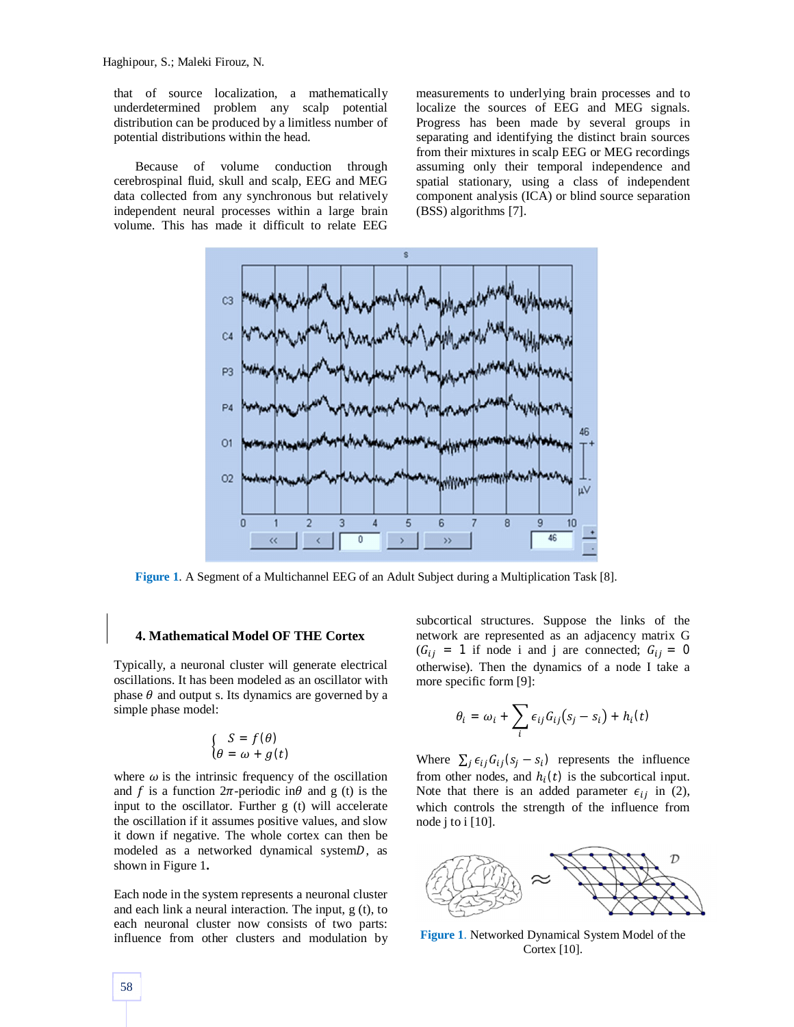that of source localization, a mathematically underdetermined problem any scalp potential distribution can be produced by a limitless number of potential distributions within the head.

Because of volume conduction through cerebrospinal fluid, skull and scalp, EEG and MEG data collected from any synchronous but relatively independent neural processes within a large brain volume. This has made it difficult to relate EEG

measurements to underlying brain processes and to localize the sources of EEG and MEG signals. Progress has been made by several groups in separating and identifying the distinct brain sources from their mixtures in scalp EEG or MEG recordings assuming only their temporal independence and spatial stationary, using a class of independent component analysis (ICA) or blind source separation (BSS) algorithms [7].



**Figure 1**. A Segment of a Multichannel EEG of an Adult Subject during a Multiplication Task [8].

#### **4. Mathematical Model OF THE Cortex**

Typically, a neuronal cluster will generate electrical oscillations. It has been modeled as an oscillator with phase  $\theta$  and output s. Its dynamics are governed by a simple phase model:

$$
\begin{cases}\nS = f(\theta) \\
\theta = \omega + g(t)\n\end{cases}
$$

where  $\omega$  is the intrinsic frequency of the oscillation and f is a function  $2\pi$ -periodic in $\theta$  and g (t) is the input to the oscillator. Further g (t) will accelerate the oscillation if it assumes positive values, and slow it down if negative. The whole cortex can then be modeled as a networked dynamical system $D$ , as shown in Figure 1**.**

Each node in the system represents a neuronal cluster and each link a neural interaction. The input, g (t), to each neuronal cluster now consists of two parts: influence from other clusters and modulation by

subcortical structures. Suppose the links of the network are represented as an adjacency matrix G  $(G_{ij} = 1$  if node i and j are connected;  $G_{ij} = 0$ otherwise). Then the dynamics of a node I take a more specific form [9]:

$$
\theta_i = \omega_i + \sum_i \epsilon_{ij} G_{ij} (s_j - s_i) + h_i(t)
$$

Where  $\sum_j \epsilon_{ij} G_{ij} (s_j - s_i)$  represents the influence from other nodes, and  $h_i(t)$  is the subcortical input. Note that there is an added parameter  $\epsilon_{ij}$  in (2), which controls the strength of the influence from node j to i [10].



**Figure 1**. Networked Dynamical System Model of the Cortex [10].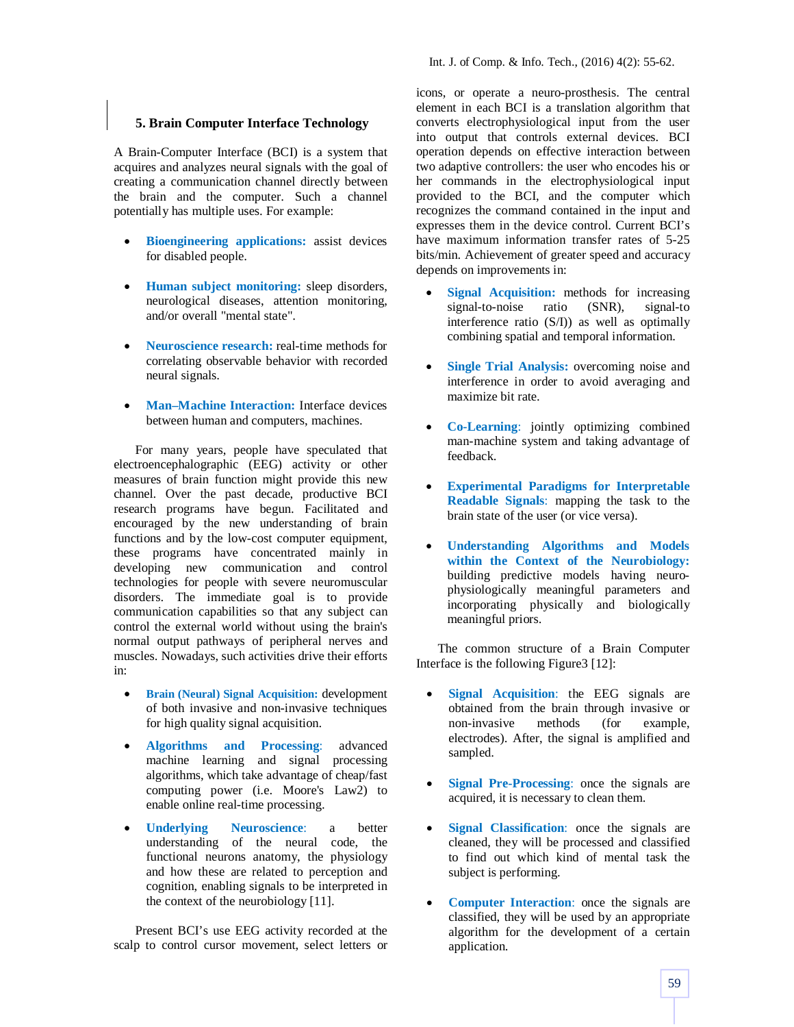### **5. Brain Computer Interface Technology**

A Brain-Computer Interface (BCI) is a system that acquires and analyzes neural signals with the goal of creating a communication channel directly between the brain and the computer. Such a channel potentially has multiple uses. For example:

- **Bioengineering applications:** assist devices for disabled people.
- **Human subject monitoring:** sleep disorders, neurological diseases, attention monitoring, and/or overall "mental state".
- **Neuroscience research:** real-time methods for correlating observable behavior with recorded neural signals.
- **Man–Machine Interaction:** Interface devices between human and computers, machines.

For many years, people have speculated that electroencephalographic (EEG) activity or other measures of brain function might provide this new channel. Over the past decade, productive BCI research programs have begun. Facilitated and encouraged by the new understanding of brain functions and by the low-cost computer equipment, these programs have concentrated mainly in developing new communication and control technologies for people with severe neuromuscular disorders. The immediate goal is to provide communication capabilities so that any subject can control the external world without using the brain's normal output pathways of peripheral nerves and muscles. Nowadays, such activities drive their efforts in:

- **Brain (Neural) Signal Acquisition:** development of both invasive and non-invasive techniques for high quality signal acquisition.
- **Algorithms and Processing**: advanced machine learning and signal processing algorithms, which take advantage of cheap/fast computing power (i.e. Moore's Law2) to enable online real-time processing.
- **Underlying Neuroscience**: a better understanding of the neural code, the functional neurons anatomy, the physiology and how these are related to perception and cognition, enabling signals to be interpreted in the context of the neurobiology [11].

Present BCI's use EEG activity recorded at the scalp to control cursor movement, select letters or icons, or operate a neuro-prosthesis. The central element in each BCI is a translation algorithm that converts electrophysiological input from the user into output that controls external devices. BCI operation depends on effective interaction between two adaptive controllers: the user who encodes his or her commands in the electrophysiological input provided to the BCI, and the computer which recognizes the command contained in the input and expresses them in the device control. Current BCI's have maximum information transfer rates of 5-25 bits/min. Achievement of greater speed and accuracy depends on improvements in:

- **Signal Acquisition:** methods for increasing signal-to-noise ratio (SNR), signal-to interference ratio (S/I)) as well as optimally combining spatial and temporal information.
- **Single Trial Analysis:** overcoming noise and interference in order to avoid averaging and maximize bit rate.
- **Co-Learning**: jointly optimizing combined man-machine system and taking advantage of feedback.
- **Experimental Paradigms for Interpretable Readable Signals**: mapping the task to the brain state of the user (or vice versa).
- **Understanding Algorithms and Models within the Context of the Neurobiology:** building predictive models having neurophysiologically meaningful parameters and incorporating physically and biologically meaningful priors.

The common structure of a Brain Computer Interface is the following Figure3 [12]:

- **Signal Acquisition**: the EEG signals are obtained from the brain through invasive or non-invasive methods (for example, electrodes). After, the signal is amplified and sampled.
- **Signal Pre-Processing**: once the signals are acquired, it is necessary to clean them.
- **Signal Classification**: once the signals are cleaned, they will be processed and classified to find out which kind of mental task the subject is performing.
- **Computer Interaction**: once the signals are classified, they will be used by an appropriate algorithm for the development of a certain application.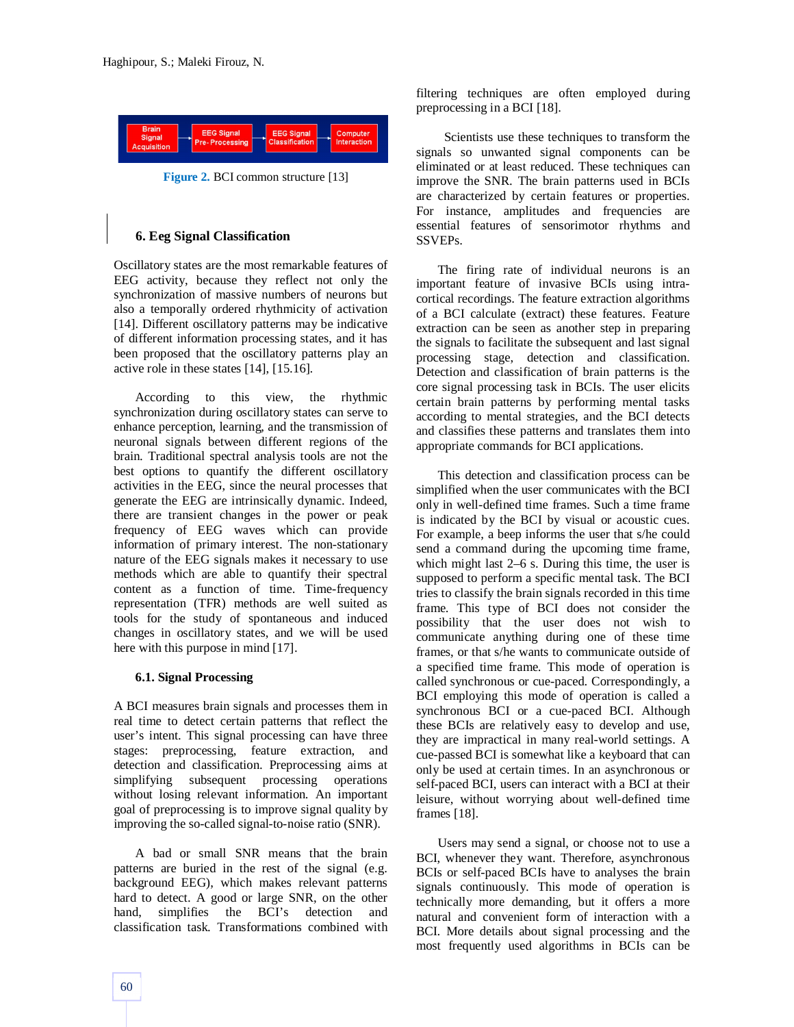

**Figure 2.** BCI common structure [13]

## **6. Eeg Signal Classification**

Oscillatory states are the most remarkable features of EEG activity, because they reflect not only the synchronization of massive numbers of neurons but also a temporally ordered rhythmicity of activation [14]. Different oscillatory patterns may be indicative of different information processing states, and it has been proposed that the oscillatory patterns play an active role in these states [14], [15.16].

According to this view, the rhythmic synchronization during oscillatory states can serve to enhance perception, learning, and the transmission of neuronal signals between different regions of the brain. Traditional spectral analysis tools are not the best options to quantify the different oscillatory activities in the EEG, since the neural processes that generate the EEG are intrinsically dynamic. Indeed, there are transient changes in the power or peak frequency of EEG waves which can provide information of primary interest. The non-stationary nature of the EEG signals makes it necessary to use methods which are able to quantify their spectral content as a function of time. Time-frequency representation (TFR) methods are well suited as tools for the study of spontaneous and induced changes in oscillatory states, and we will be used here with this purpose in mind [17].

## **6.1. Signal Processing**

A BCI measures brain signals and processes them in real time to detect certain patterns that reflect the user's intent. This signal processing can have three stages: preprocessing, feature extraction, and detection and classification. Preprocessing aims at simplifying subsequent processing operations without losing relevant information. An important goal of preprocessing is to improve signal quality by improving the so-called signal-to-noise ratio (SNR).

A bad or small SNR means that the brain patterns are buried in the rest of the signal (e.g. background EEG), which makes relevant patterns hard to detect. A good or large SNR, on the other hand, simplifies the BCI's detection and classification task. Transformations combined with filtering techniques are often employed during preprocessing in a BCI [18].

 Scientists use these techniques to transform the signals so unwanted signal components can be eliminated or at least reduced. These techniques can improve the SNR. The brain patterns used in BCIs are characterized by certain features or properties. For instance, amplitudes and frequencies are essential features of sensorimotor rhythms and SSVEPs.

The firing rate of individual neurons is an important feature of invasive BCIs using intracortical recordings. The feature extraction algorithms of a BCI calculate (extract) these features. Feature extraction can be seen as another step in preparing the signals to facilitate the subsequent and last signal processing stage, detection and classification. Detection and classification of brain patterns is the core signal processing task in BCIs. The user elicits certain brain patterns by performing mental tasks according to mental strategies, and the BCI detects and classifies these patterns and translates them into appropriate commands for BCI applications.

This detection and classification process can be simplified when the user communicates with the BCI only in well-defined time frames. Such a time frame is indicated by the BCI by visual or acoustic cues. For example, a beep informs the user that s/he could send a command during the upcoming time frame, which might last 2–6 s. During this time, the user is supposed to perform a specific mental task. The BCI tries to classify the brain signals recorded in this time frame. This type of BCI does not consider the possibility that the user does not wish to communicate anything during one of these time frames, or that s/he wants to communicate outside of a specified time frame. This mode of operation is called synchronous or cue-paced. Correspondingly, a BCI employing this mode of operation is called a synchronous BCI or a cue-paced BCI. Although these BCIs are relatively easy to develop and use, they are impractical in many real-world settings. A cue-passed BCI is somewhat like a keyboard that can only be used at certain times. In an asynchronous or self-paced BCI, users can interact with a BCI at their leisure, without worrying about well-defined time frames [18].

Users may send a signal, or choose not to use a BCI, whenever they want. Therefore, asynchronous BCIs or self-paced BCIs have to analyses the brain signals continuously. This mode of operation is technically more demanding, but it offers a more natural and convenient form of interaction with a BCI. More details about signal processing and the most frequently used algorithms in BCIs can be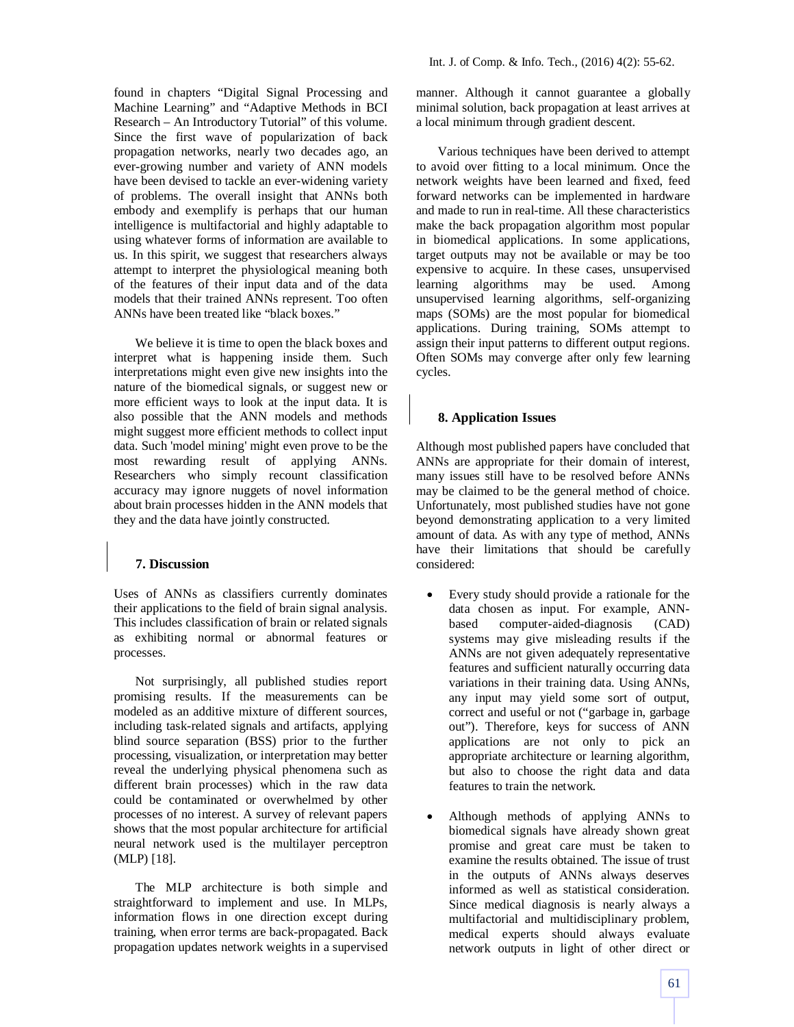found in chapters "Digital Signal Processing and Machine Learning" and "Adaptive Methods in BCI Research – An Introductory Tutorial" of this volume. Since the first wave of popularization of back propagation networks, nearly two decades ago, an ever-growing number and variety of ANN models have been devised to tackle an ever-widening variety of problems. The overall insight that ANNs both embody and exemplify is perhaps that our human intelligence is multifactorial and highly adaptable to using whatever forms of information are available to us. In this spirit, we suggest that researchers always attempt to interpret the physiological meaning both of the features of their input data and of the data models that their trained ANNs represent. Too often ANNs have been treated like "black boxes."

We believe it is time to open the black boxes and interpret what is happening inside them. Such interpretations might even give new insights into the nature of the biomedical signals, or suggest new or more efficient ways to look at the input data. It is also possible that the ANN models and methods might suggest more efficient methods to collect input data. Such 'model mining' might even prove to be the most rewarding result of applying ANNs. Researchers who simply recount classification accuracy may ignore nuggets of novel information about brain processes hidden in the ANN models that they and the data have jointly constructed.

## **7. Discussion**

Uses of ANNs as classifiers currently dominates their applications to the field of brain signal analysis. This includes classification of brain or related signals as exhibiting normal or abnormal features or processes.

Not surprisingly, all published studies report promising results. If the measurements can be modeled as an additive mixture of different sources, including task-related signals and artifacts, applying blind source separation (BSS) prior to the further processing, visualization, or interpretation may better reveal the underlying physical phenomena such as different brain processes) which in the raw data could be contaminated or overwhelmed by other processes of no interest. A survey of relevant papers shows that the most popular architecture for artificial neural network used is the multilayer perceptron (MLP) [18].

The MLP architecture is both simple and straightforward to implement and use. In MLPs, information flows in one direction except during training, when error terms are back-propagated. Back propagation updates network weights in a supervised manner. Although it cannot guarantee a globally minimal solution, back propagation at least arrives at a local minimum through gradient descent.

Various techniques have been derived to attempt to avoid over fitting to a local minimum. Once the network weights have been learned and fixed, feed forward networks can be implemented in hardware and made to run in real-time. All these characteristics make the back propagation algorithm most popular in biomedical applications. In some applications, target outputs may not be available or may be too expensive to acquire. In these cases, unsupervised learning algorithms may be used. Among unsupervised learning algorithms, self-organizing maps (SOMs) are the most popular for biomedical applications. During training, SOMs attempt to assign their input patterns to different output regions. Often SOMs may converge after only few learning cycles.

## **8. Application Issues**

Although most published papers have concluded that ANNs are appropriate for their domain of interest, many issues still have to be resolved before ANNs may be claimed to be the general method of choice. Unfortunately, most published studies have not gone beyond demonstrating application to a very limited amount of data. As with any type of method, ANNs have their limitations that should be carefully considered:

- Every study should provide a rationale for the data chosen as input. For example, ANNbased computer-aided-diagnosis (CAD) systems may give misleading results if the ANNs are not given adequately representative features and sufficient naturally occurring data variations in their training data. Using ANNs, any input may yield some sort of output, correct and useful or not ("garbage in, garbage out"). Therefore, keys for success of ANN applications are not only to pick an appropriate architecture or learning algorithm, but also to choose the right data and data features to train the network.
- Although methods of applying ANNs to biomedical signals have already shown great promise and great care must be taken to examine the results obtained. The issue of trust in the outputs of ANNs always deserves informed as well as statistical consideration. Since medical diagnosis is nearly always a multifactorial and multidisciplinary problem, medical experts should always evaluate network outputs in light of other direct or